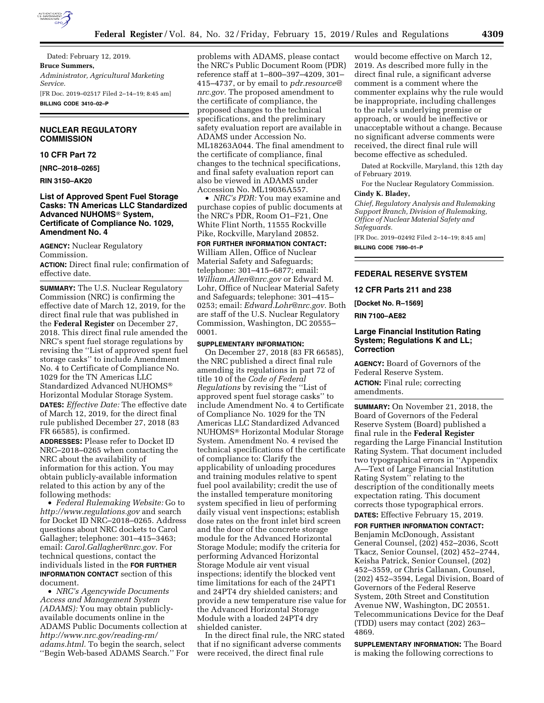

Dated: February 12, 2019. **Bruce Summers,**  *Administrator, Agricultural Marketing Service.*  [FR Doc. 2019–02517 Filed 2–14–19; 8:45 am] **BILLING CODE 3410–02–P** 

# **NUCLEAR REGULATORY COMMISSION**

# **10 CFR Part 72**

**[NRC–2018–0265]** 

**RIN 3150–AK20** 

## **List of Approved Spent Fuel Storage Casks: TN Americas LLC Standardized Advanced NUHOMS**® **System, Certificate of Compliance No. 1029, Amendment No. 4**

**AGENCY:** Nuclear Regulatory Commission.

**ACTION:** Direct final rule; confirmation of effective date.

**SUMMARY:** The U.S. Nuclear Regulatory Commission (NRC) is confirming the effective date of March 12, 2019, for the direct final rule that was published in the **Federal Register** on December 27, 2018. This direct final rule amended the NRC's spent fuel storage regulations by revising the ''List of approved spent fuel storage casks'' to include Amendment No. 4 to Certificate of Compliance No. 1029 for the TN Americas LLC Standardized Advanced NUHOMS® Horizontal Modular Storage System. **DATES:** *Effective Date:* The effective date of March 12, 2019, for the direct final rule published December 27, 2018 (83 FR 66585), is confirmed.

**ADDRESSES:** Please refer to Docket ID NRC–2018–0265 when contacting the NRC about the availability of information for this action. You may obtain publicly-available information related to this action by any of the following methods:

• *Federal Rulemaking Website:* Go to *<http://www.regulations.gov>* and search for Docket ID NRC–2018–0265. Address questions about NRC dockets to Carol Gallagher; telephone: 301–415–3463; email: *[Carol.Gallagher@nrc.gov](mailto:Carol.Gallagher@nrc.gov)*. For technical questions, contact the individuals listed in the **FOR FURTHER INFORMATION CONTACT** section of this document.

• *NRC's Agencywide Documents Access and Management System (ADAMS):* You may obtain publiclyavailable documents online in the ADAMS Public Documents collection at *[http://www.nrc.gov/reading-rm/](http://www.nrc.gov/reading-rm/adams.html)  [adams.html.](http://www.nrc.gov/reading-rm/adams.html)* To begin the search, select ''Begin Web-based ADAMS Search.'' For

problems with ADAMS, please contact the NRC's Public Document Room (PDR) reference staff at 1–800–397–4209, 301– 415–4737, or by email to *[pdr.resource@](mailto:pdr.resource@nrc.gov) [nrc.gov.](mailto:pdr.resource@nrc.gov)* The proposed amendment to the certificate of compliance, the proposed changes to the technical specifications, and the preliminary safety evaluation report are available in ADAMS under Accession No. ML18263A044. The final amendment to the certificate of compliance, final changes to the technical specifications, and final safety evaluation report can also be viewed in ADAMS under Accession No. ML19036A557.

• *NRC's PDR:* You may examine and purchase copies of public documents at the NRC's PDR, Room O1–F21, One White Flint North, 11555 Rockville Pike, Rockville, Maryland 20852.

**FOR FURTHER INFORMATION CONTACT:**  William Allen, Office of Nuclear Material Safety and Safeguards; telephone: 301–415–6877; email: *[William.Allen@nrc.gov](mailto:William.Allen@nrc.gov)* or Edward M. Lohr, Office of Nuclear Material Safety and Safeguards; telephone: 301–415– 0253; email: *[Edward.Lohr@nrc.gov.](mailto:Edward.Lohr@nrc.gov)* Both are staff of the U.S. Nuclear Regulatory Commission, Washington, DC 20555– 0001.

### **SUPPLEMENTARY INFORMATION:**

On December 27, 2018 (83 FR 66585), the NRC published a direct final rule amending its regulations in part 72 of title 10 of the *Code of Federal Regulations* by revising the ''List of approved spent fuel storage casks'' to include Amendment No. 4 to Certificate of Compliance No. 1029 for the TN Americas LLC Standardized Advanced NUHOMS® Horizontal Modular Storage System. Amendment No. 4 revised the technical specifications of the certificate of compliance to: Clarify the applicability of unloading procedures and training modules relative to spent fuel pool availability; credit the use of the installed temperature monitoring system specified in lieu of performing daily visual vent inspections; establish dose rates on the front inlet bird screen and the door of the concrete storage module for the Advanced Horizontal Storage Module; modify the criteria for performing Advanced Horizontal Storage Module air vent visual inspections; identify the blocked vent time limitations for each of the 24PT1 and 24PT4 dry shielded canisters; and provide a new temperature rise value for the Advanced Horizontal Storage Module with a loaded 24PT4 dry shielded canister.

In the direct final rule, the NRC stated that if no significant adverse comments were received, the direct final rule

would become effective on March 12, 2019. As described more fully in the direct final rule, a significant adverse comment is a comment where the commenter explains why the rule would be inappropriate, including challenges to the rule's underlying premise or approach, or would be ineffective or unacceptable without a change. Because no significant adverse comments were received, the direct final rule will become effective as scheduled.

Dated at Rockville, Maryland, this 12th day of February 2019.

For the Nuclear Regulatory Commission.

# **Cindy K. Bladey,**

*Chief, Regulatory Analysis and Rulemaking Support Branch, Division of Rulemaking, Office of Nuclear Material Safety and Safeguards.* 

[FR Doc. 2019–02492 Filed 2–14–19; 8:45 am] **BILLING CODE 7590–01–P** 

# **FEDERAL RESERVE SYSTEM**

#### **12 CFR Parts 211 and 238**

**[Docket No. R–1569]** 

**RIN 7100–AE82** 

# **Large Financial Institution Rating System; Regulations K and LL; Correction**

**AGENCY:** Board of Governors of the Federal Reserve System.

**ACTION:** Final rule; correcting amendments.

**SUMMARY:** On November 21, 2018, the Board of Governors of the Federal Reserve System (Board) published a final rule in the **Federal Register**  regarding the Large Financial Institution Rating System. That document included two typographical errors in ''Appendix A—Text of Large Financial Institution Rating System'' relating to the description of the conditionally meets expectation rating. This document corrects those typographical errors.

# **DATES:** Effective February 15, 2019.

**FOR FURTHER INFORMATION CONTACT:** 

Benjamin McDonough, Assistant General Counsel, (202) 452–2036, Scott Tkacz, Senior Counsel, (202) 452–2744, Keisha Patrick, Senior Counsel, (202) 452–3559, or Chris Callanan, Counsel, (202) 452–3594, Legal Division, Board of Governors of the Federal Reserve System, 20th Street and Constitution Avenue NW, Washington, DC 20551. Telecommunications Device for the Deaf (TDD) users may contact (202) 263– 4869.

**SUPPLEMENTARY INFORMATION:** The Board is making the following corrections to